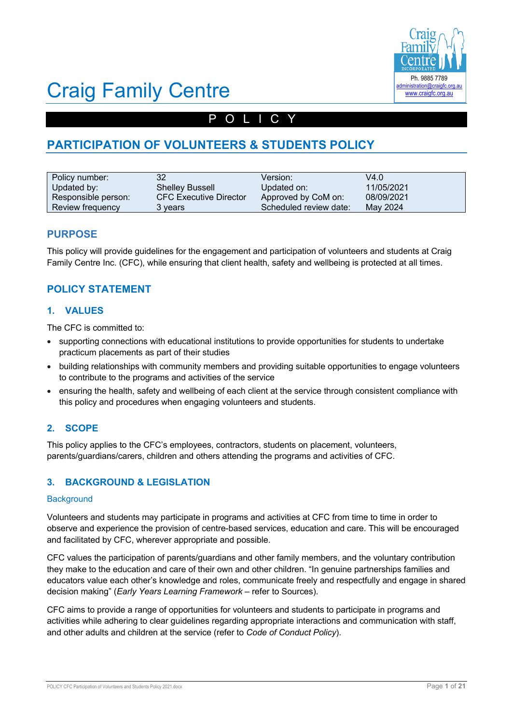

# POLICY

# **PARTICIPATION OF VOLUNTEERS & STUDENTS POLICY**

| Policy number:      | 32                            | Version:               | V4.0       |
|---------------------|-------------------------------|------------------------|------------|
| Updated by:         | <b>Shelley Bussell</b>        | Updated on:            | 11/05/2021 |
| Responsible person: | <b>CFC Executive Director</b> | Approved by CoM on:    | 08/09/2021 |
| Review frequency    | 3 vears                       | Scheduled review date: | May 2024   |

## **PURPOSE**

This policy will provide guidelines for the engagement and participation of volunteers and students at Craig Family Centre Inc. (CFC), while ensuring that client health, safety and wellbeing is protected at all times.

# **POLICY STATEMENT**

## **1. VALUES**

The CFC is committed to:

- supporting connections with educational institutions to provide opportunities for students to undertake practicum placements as part of their studies
- building relationships with community members and providing suitable opportunities to engage volunteers to contribute to the programs and activities of the service
- ensuring the health, safety and wellbeing of each client at the service through consistent compliance with this policy and procedures when engaging volunteers and students.

# **2. SCOPE**

This policy applies to the CFC's employees, contractors, students on placement, volunteers, parents/guardians/carers, children and others attending the programs and activities of CFC.

# **3. BACKGROUND & LEGISLATION**

### **Background**

Volunteers and students may participate in programs and activities at CFC from time to time in order to observe and experience the provision of centre-based services, education and care. This will be encouraged and facilitated by CFC, wherever appropriate and possible.

CFC values the participation of parents/guardians and other family members, and the voluntary contribution they make to the education and care of their own and other children. "In genuine partnerships families and educators value each other's knowledge and roles, communicate freely and respectfully and engage in shared decision making" (*Early Years Learning Framework –* refer to Sources).

CFC aims to provide a range of opportunities for volunteers and students to participate in programs and activities while adhering to clear guidelines regarding appropriate interactions and communication with staff, and other adults and children at the service (refer to *Code of Conduct Policy*).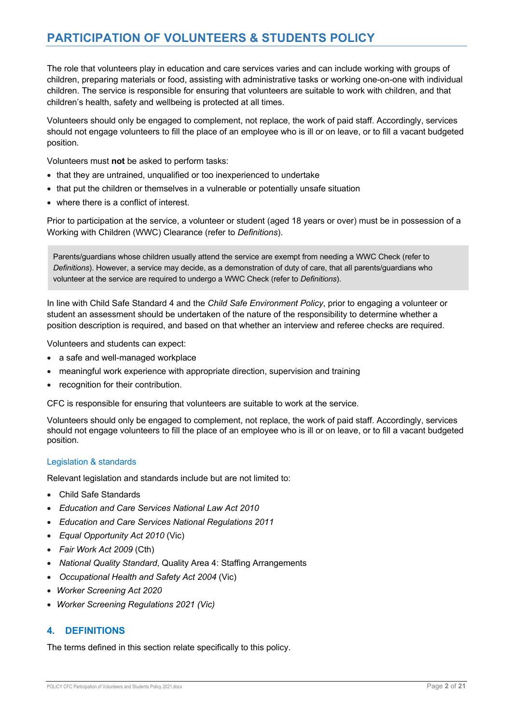The role that volunteers play in education and care services varies and can include working with groups of children, preparing materials or food, assisting with administrative tasks or working one-on-one with individual children. The service is responsible for ensuring that volunteers are suitable to work with children, and that children's health, safety and wellbeing is protected at all times.

Volunteers should only be engaged to complement, not replace, the work of paid staff. Accordingly, services should not engage volunteers to fill the place of an employee who is ill or on leave, or to fill a vacant budgeted position.

Volunteers must **not** be asked to perform tasks:

- that they are untrained, unqualified or too inexperienced to undertake
- that put the children or themselves in a vulnerable or potentially unsafe situation
- where there is a conflict of interest.

Prior to participation at the service, a volunteer or student (aged 18 years or over) must be in possession of a Working with Children (WWC) Clearance (refer to *Definitions*).

Parents/guardians whose children usually attend the service are exempt from needing a WWC Check (refer to *Definitions*). However, a service may decide, as a demonstration of duty of care, that all parents/guardians who volunteer at the service are required to undergo a WWC Check (refer to *Definitions*).

In line with Child Safe Standard 4 and the *Child Safe Environment Policy*, prior to engaging a volunteer or student an assessment should be undertaken of the nature of the responsibility to determine whether a position description is required, and based on that whether an interview and referee checks are required.

Volunteers and students can expect:

- a safe and well-managed workplace
- meaningful work experience with appropriate direction, supervision and training
- recognition for their contribution.

CFC is responsible for ensuring that volunteers are suitable to work at the service.

Volunteers should only be engaged to complement, not replace, the work of paid staff. Accordingly, services should not engage volunteers to fill the place of an employee who is ill or on leave, or to fill a vacant budgeted position.

### Legislation & standards

Relevant legislation and standards include but are not limited to:

- Child Safe Standards
- *Education and Care Services National Law Act 2010*
- *Education and Care Services National Regulations 2011*
- *Equal Opportunity Act 2010* (Vic)
- *Fair Work Act 2009* (Cth)
- *National Quality Standard*, Quality Area 4: Staffing Arrangements
- *Occupational Health and Safety Act 2004* (Vic)
- *Worker Screening Act 2020*
- *Worker Screening Regulations 2021 (Vic)*

## **4. DEFINITIONS**

The terms defined in this section relate specifically to this policy.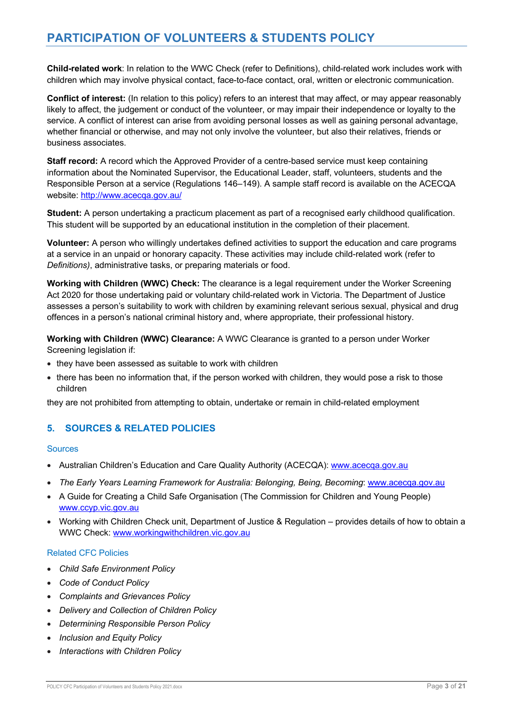**Child-related work**: In relation to the WWC Check (refer to Definitions), child-related work includes work with children which may involve physical contact, face-to-face contact, oral, written or electronic communication.

**Conflict of interest:** (In relation to this policy) refers to an interest that may affect, or may appear reasonably likely to affect, the judgement or conduct of the volunteer, or may impair their independence or loyalty to the service. A conflict of interest can arise from avoiding personal losses as well as gaining personal advantage, whether financial or otherwise, and may not only involve the volunteer, but also their relatives, friends or business associates.

**Staff record:** A record which the Approved Provider of a centre-based service must keep containing information about the Nominated Supervisor, the Educational Leader, staff, volunteers, students and the Responsible Person at a service (Regulations 146–149). A sample staff record is available on the ACECQA website: http://www.acecqa.gov.au/

**Student:** A person undertaking a practicum placement as part of a recognised early childhood qualification. This student will be supported by an educational institution in the completion of their placement.

**Volunteer:** A person who willingly undertakes defined activities to support the education and care programs at a service in an unpaid or honorary capacity. These activities may include child-related work (refer to *Definitions)*, administrative tasks, or preparing materials or food.

**Working with Children (WWC) Check:** The clearance is a legal requirement under the Worker Screening Act 2020 for those undertaking paid or voluntary child-related work in Victoria. The Department of Justice assesses a person's suitability to work with children by examining relevant serious sexual, physical and drug offences in a person's national criminal history and, where appropriate, their professional history.

**Working with Children (WWC) Clearance:** A WWC Clearance is granted to a person under Worker Screening legislation if:

- they have been assessed as suitable to work with children
- there has been no information that, if the person worked with children, they would pose a risk to those children

they are not prohibited from attempting to obtain, undertake or remain in child-related employment

## **5. SOURCES & RELATED POLICIES**

#### Sources

- Australian Children's Education and Care Quality Authority (ACECQA): www.acecqa.gov.au
- *The Early Years Learning Framework for Australia: Belonging, Being, Becoming*: www.acecqa.gov.au
- A Guide for Creating a Child Safe Organisation (The Commission for Children and Young People) www.ccyp.vic.gov.au
- Working with Children Check unit, Department of Justice & Regulation provides details of how to obtain a WWC Check: www.workingwithchildren.vic.gov.au

### Related CFC Policies

- *Child Safe Environment Policy*
- *Code of Conduct Policy*
- *Complaints and Grievances Policy*
- *Delivery and Collection of Children Policy*
- *Determining Responsible Person Policy*
- *Inclusion and Equity Policy*
- *Interactions with Children Policy*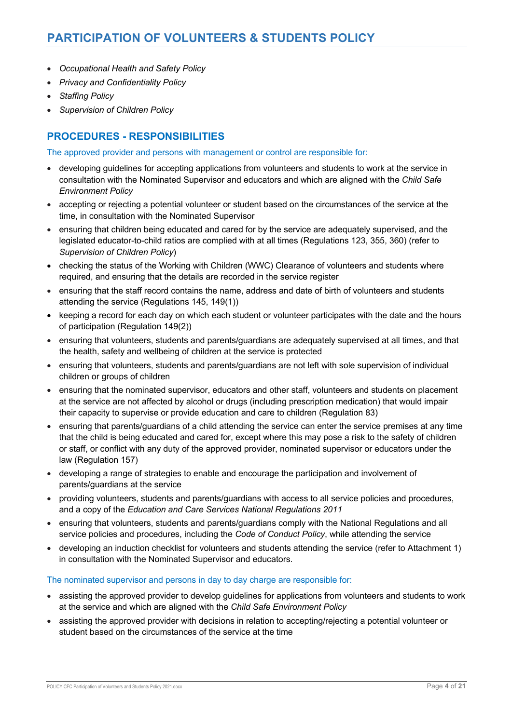- *Occupational Health and Safety Policy*
- *Privacy and Confidentiality Policy*
- *Staffing Policy*
- *Supervision of Children Policy*

# **PROCEDURES - RESPONSIBILITIES**

The approved provider and persons with management or control are responsible for:

- developing guidelines for accepting applications from volunteers and students to work at the service in consultation with the Nominated Supervisor and educators and which are aligned with the *Child Safe Environment Policy*
- accepting or rejecting a potential volunteer or student based on the circumstances of the service at the time, in consultation with the Nominated Supervisor
- ensuring that children being educated and cared for by the service are adequately supervised, and the legislated educator-to-child ratios are complied with at all times (Regulations 123, 355, 360) (refer to *Supervision of Children Policy*)
- checking the status of the Working with Children (WWC) Clearance of volunteers and students where required, and ensuring that the details are recorded in the service register
- ensuring that the staff record contains the name, address and date of birth of volunteers and students attending the service (Regulations 145, 149(1))
- keeping a record for each day on which each student or volunteer participates with the date and the hours of participation (Regulation 149(2))
- ensuring that volunteers, students and parents/guardians are adequately supervised at all times, and that the health, safety and wellbeing of children at the service is protected
- ensuring that volunteers, students and parents/guardians are not left with sole supervision of individual children or groups of children
- ensuring that the nominated supervisor, educators and other staff, volunteers and students on placement at the service are not affected by alcohol or drugs (including prescription medication) that would impair their capacity to supervise or provide education and care to children (Regulation 83)
- ensuring that parents/guardians of a child attending the service can enter the service premises at any time that the child is being educated and cared for, except where this may pose a risk to the safety of children or staff, or conflict with any duty of the approved provider, nominated supervisor or educators under the law (Regulation 157)
- developing a range of strategies to enable and encourage the participation and involvement of parents/guardians at the service
- providing volunteers, students and parents/guardians with access to all service policies and procedures, and a copy of the *Education and Care Services National Regulations 2011*
- ensuring that volunteers, students and parents/guardians comply with the National Regulations and all service policies and procedures, including the *Code of Conduct Policy*, while attending the service
- developing an induction checklist for volunteers and students attending the service (refer to Attachment 1) in consultation with the Nominated Supervisor and educators.

## The nominated supervisor and persons in day to day charge are responsible for:

- assisting the approved provider to develop guidelines for applications from volunteers and students to work at the service and which are aligned with the *Child Safe Environment Policy*
- assisting the approved provider with decisions in relation to accepting/rejecting a potential volunteer or student based on the circumstances of the service at the time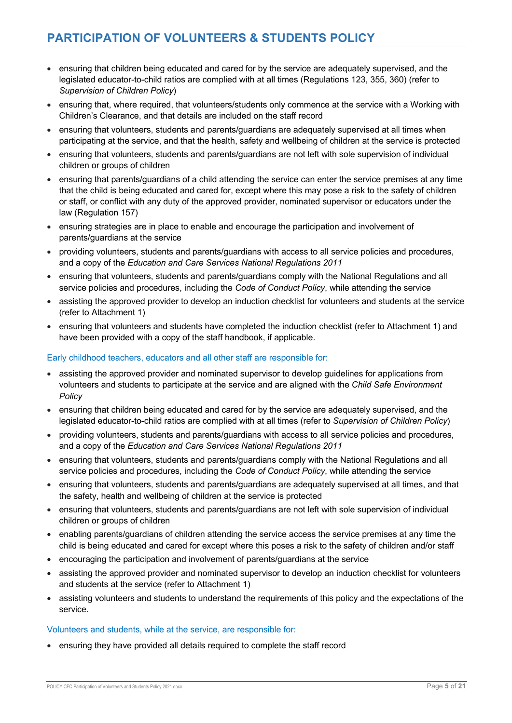- ensuring that children being educated and cared for by the service are adequately supervised, and the legislated educator-to-child ratios are complied with at all times (Regulations 123, 355, 360) (refer to *Supervision of Children Policy*)
- ensuring that, where required, that volunteers/students only commence at the service with a Working with Children's Clearance, and that details are included on the staff record
- ensuring that volunteers, students and parents/guardians are adequately supervised at all times when participating at the service, and that the health, safety and wellbeing of children at the service is protected
- ensuring that volunteers, students and parents/guardians are not left with sole supervision of individual children or groups of children
- ensuring that parents/guardians of a child attending the service can enter the service premises at any time that the child is being educated and cared for, except where this may pose a risk to the safety of children or staff, or conflict with any duty of the approved provider, nominated supervisor or educators under the law (Regulation 157)
- ensuring strategies are in place to enable and encourage the participation and involvement of parents/guardians at the service
- providing volunteers, students and parents/guardians with access to all service policies and procedures, and a copy of the *Education and Care Services National Regulations 2011*
- ensuring that volunteers, students and parents/guardians comply with the National Regulations and all service policies and procedures, including the *Code of Conduct Policy*, while attending the service
- assisting the approved provider to develop an induction checklist for volunteers and students at the service (refer to Attachment 1)
- ensuring that volunteers and students have completed the induction checklist (refer to Attachment 1) and have been provided with a copy of the staff handbook, if applicable.

### Early childhood teachers, educators and all other staff are responsible for:

- assisting the approved provider and nominated supervisor to develop guidelines for applications from volunteers and students to participate at the service and are aligned with the *Child Safe Environment Policy*
- ensuring that children being educated and cared for by the service are adequately supervised, and the legislated educator-to-child ratios are complied with at all times (refer to *Supervision of Children Policy*)
- providing volunteers, students and parents/guardians with access to all service policies and procedures, and a copy of the *Education and Care Services National Regulations 2011*
- ensuring that volunteers, students and parents/guardians comply with the National Regulations and all service policies and procedures, including the *Code of Conduct Policy*, while attending the service
- ensuring that volunteers, students and parents/guardians are adequately supervised at all times, and that the safety, health and wellbeing of children at the service is protected
- ensuring that volunteers, students and parents/guardians are not left with sole supervision of individual children or groups of children
- enabling parents/guardians of children attending the service access the service premises at any time the child is being educated and cared for except where this poses a risk to the safety of children and/or staff
- encouraging the participation and involvement of parents/guardians at the service
- assisting the approved provider and nominated supervisor to develop an induction checklist for volunteers and students at the service (refer to Attachment 1)
- assisting volunteers and students to understand the requirements of this policy and the expectations of the service.

### Volunteers and students, while at the service, are responsible for:

• ensuring they have provided all details required to complete the staff record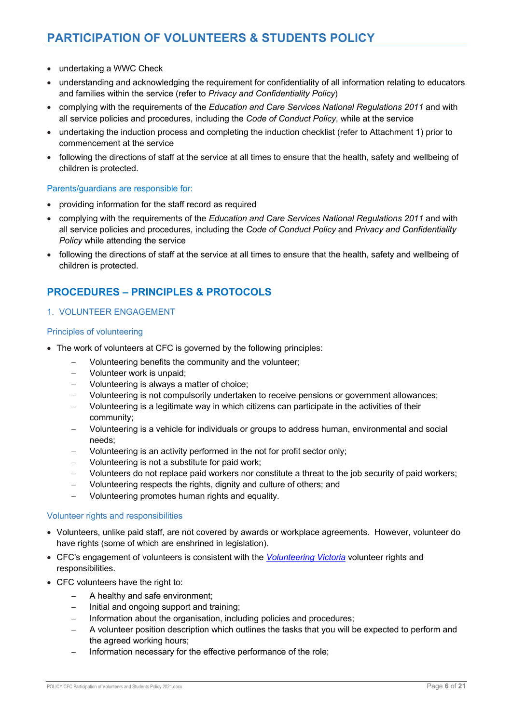- undertaking a WWC Check
- understanding and acknowledging the requirement for confidentiality of all information relating to educators and families within the service (refer to *Privacy and Confidentiality Policy*)
- complying with the requirements of the *Education and Care Services National Regulations 2011* and with all service policies and procedures, including the *Code of Conduct Policy*, while at the service
- undertaking the induction process and completing the induction checklist (refer to Attachment 1) prior to commencement at the service
- following the directions of staff at the service at all times to ensure that the health, safety and wellbeing of children is protected.

### Parents/guardians are responsible for:

- providing information for the staff record as required
- complying with the requirements of the *Education and Care Services National Regulations 2011* and with all service policies and procedures, including the *Code of Conduct Policy* and *Privacy and Confidentiality Policy* while attending the service
- following the directions of staff at the service at all times to ensure that the health, safety and wellbeing of children is protected.

# **PROCEDURES – PRINCIPLES & PROTOCOLS**

### 1. VOLUNTEER ENGAGEMENT

### Principles of volunteering

- The work of volunteers at CFC is governed by the following principles:
	- Volunteering benefits the community and the volunteer;
	- Volunteer work is unpaid;
	- Volunteering is always a matter of choice;
	- Volunteering is not compulsorily undertaken to receive pensions or government allowances;
	- Volunteering is a legitimate way in which citizens can participate in the activities of their community;
	- Volunteering is a vehicle for individuals or groups to address human, environmental and social needs;
	- Volunteering is an activity performed in the not for profit sector only;
	- Volunteering is not a substitute for paid work;
	- Volunteers do not replace paid workers nor constitute a threat to the job security of paid workers;
	- Volunteering respects the rights, dignity and culture of others; and
	- Volunteering promotes human rights and equality.

### Volunteer rights and responsibilities

- Volunteers, unlike paid staff, are not covered by awards or workplace agreements. However, volunteer do have rights (some of which are enshrined in legislation).
- CFC's engagement of volunteers is consistent with the *Volunteering Victoria* volunteer rights and responsibilities.
- CFC volunteers have the right to:
	- A healthy and safe environment;
	- Initial and ongoing support and training:
	- Information about the organisation, including policies and procedures;
	- A volunteer position description which outlines the tasks that you will be expected to perform and the agreed working hours;
	- Information necessary for the effective performance of the role;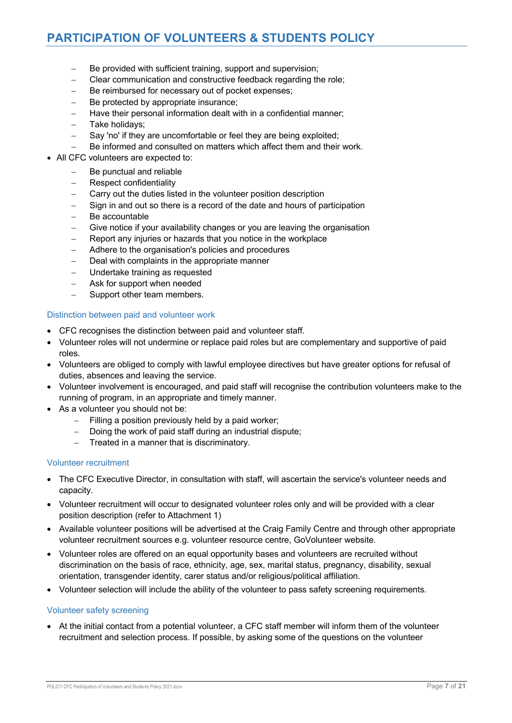- Be provided with sufficient training, support and supervision;
- Clear communication and constructive feedback regarding the role;
- Be reimbursed for necessary out of pocket expenses;
- Be protected by appropriate insurance:
- Have their personal information dealt with in a confidential manner;
- Take holidays;
- Say 'no' if they are uncomfortable or feel they are being exploited;
- Be informed and consulted on matters which affect them and their work.
- All CFC volunteers are expected to:
	- Be punctual and reliable
	- Respect confidentiality
	- Carry out the duties listed in the volunteer position description
	- Sign in and out so there is a record of the date and hours of participation
	- Be accountable
	- Give notice if your availability changes or you are leaving the organisation
	- Report any injuries or hazards that you notice in the workplace
	- Adhere to the organisation's policies and procedures
	- Deal with complaints in the appropriate manner
	- Undertake training as requested
	- Ask for support when needed
	- Support other team members.

#### Distinction between paid and volunteer work

- CFC recognises the distinction between paid and volunteer staff.
- Volunteer roles will not undermine or replace paid roles but are complementary and supportive of paid roles.
- Volunteers are obliged to comply with lawful employee directives but have greater options for refusal of duties, absences and leaving the service.
- Volunteer involvement is encouraged, and paid staff will recognise the contribution volunteers make to the running of program, in an appropriate and timely manner.
- As a volunteer you should not be:
	- Filling a position previously held by a paid worker;
	- Doing the work of paid staff during an industrial dispute:
	- Treated in a manner that is discriminatory.

#### Volunteer recruitment

- The CFC Executive Director, in consultation with staff, will ascertain the service's volunteer needs and capacity.
- Volunteer recruitment will occur to designated volunteer roles only and will be provided with a clear position description (refer to Attachment 1)
- Available volunteer positions will be advertised at the Craig Family Centre and through other appropriate volunteer recruitment sources e.g. volunteer resource centre, GoVolunteer website.
- Volunteer roles are offered on an equal opportunity bases and volunteers are recruited without discrimination on the basis of race, ethnicity, age, sex, marital status, pregnancy, disability, sexual orientation, transgender identity, carer status and/or religious/political affiliation.
- Volunteer selection will include the ability of the volunteer to pass safety screening requirements.

#### Volunteer safety screening

• At the initial contact from a potential volunteer, a CFC staff member will inform them of the volunteer recruitment and selection process. If possible, by asking some of the questions on the volunteer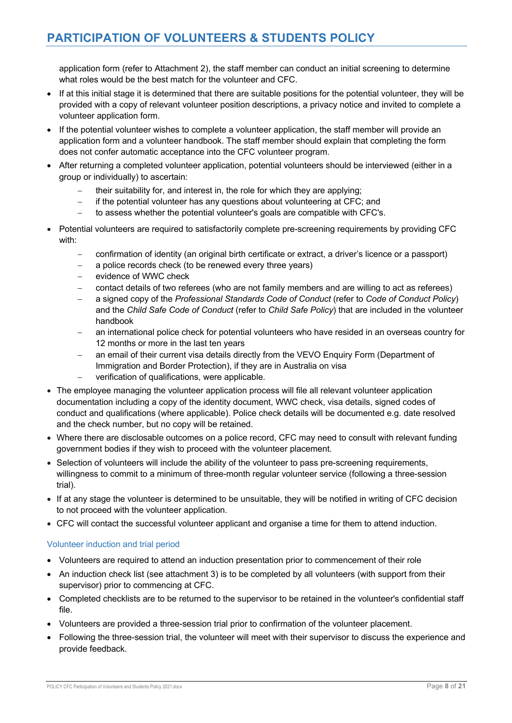application form (refer to Attachment 2), the staff member can conduct an initial screening to determine what roles would be the best match for the volunteer and CFC.

- If at this initial stage it is determined that there are suitable positions for the potential volunteer, they will be provided with a copy of relevant volunteer position descriptions, a privacy notice and invited to complete a volunteer application form.
- If the potential volunteer wishes to complete a volunteer application, the staff member will provide an application form and a volunteer handbook. The staff member should explain that completing the form does not confer automatic acceptance into the CFC volunteer program.
- After returning a completed volunteer application, potential volunteers should be interviewed (either in a group or individually) to ascertain:
	- their suitability for, and interest in, the role for which they are applying;
	- if the potential volunteer has any questions about volunteering at CFC; and
	- to assess whether the potential volunteer's goals are compatible with CFC's.
- Potential volunteers are required to satisfactorily complete pre-screening requirements by providing CFC with:
	- confirmation of identity (an original birth certificate or extract, a driver's licence or a passport)
	- a police records check (to be renewed every three years)
	- evidence of WWC check
	- contact details of two referees (who are not family members and are willing to act as referees)
	- a signed copy of the *Professional Standards Code of Conduct* (refer to *Code of Conduct Policy*) and the *Child Safe Code of Conduct* (refer to *Child Safe Policy*) that are included in the volunteer handbook
	- an international police check for potential volunteers who have resided in an overseas country for 12 months or more in the last ten years
	- an email of their current visa details directly from the VEVO Enquiry Form (Department of Immigration and Border Protection), if they are in Australia on visa
	- verification of qualifications, were applicable.
- The employee managing the volunteer application process will file all relevant volunteer application documentation including a copy of the identity document, WWC check, visa details, signed codes of conduct and qualifications (where applicable). Police check details will be documented e.g. date resolved and the check number, but no copy will be retained.
- Where there are disclosable outcomes on a police record, CFC may need to consult with relevant funding government bodies if they wish to proceed with the volunteer placement.
- Selection of volunteers will include the ability of the volunteer to pass pre-screening requirements, willingness to commit to a minimum of three-month regular volunteer service (following a three-session trial).
- If at any stage the volunteer is determined to be unsuitable, they will be notified in writing of CFC decision to not proceed with the volunteer application.
- CFC will contact the successful volunteer applicant and organise a time for them to attend induction.

### Volunteer induction and trial period

- Volunteers are required to attend an induction presentation prior to commencement of their role
- An induction check list (see attachment 3) is to be completed by all volunteers (with support from their supervisor) prior to commencing at CFC.
- Completed checklists are to be returned to the supervisor to be retained in the volunteer's confidential staff file.
- Volunteers are provided a three-session trial prior to confirmation of the volunteer placement.
- Following the three-session trial, the volunteer will meet with their supervisor to discuss the experience and provide feedback.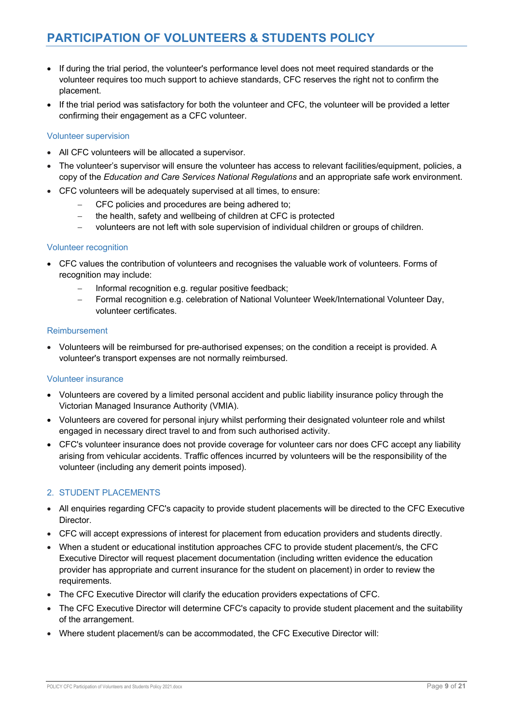# **PARTICIPATION OF VOLUNTEERS & STUDENTS POLICY**

- If during the trial period, the volunteer's performance level does not meet required standards or the volunteer requires too much support to achieve standards, CFC reserves the right not to confirm the placement.
- If the trial period was satisfactory for both the volunteer and CFC, the volunteer will be provided a letter confirming their engagement as a CFC volunteer.

#### Volunteer supervision

- All CFC volunteers will be allocated a supervisor.
- The volunteer's supervisor will ensure the volunteer has access to relevant facilities/equipment, policies, a copy of the *Education and Care Services National Regulations* and an appropriate safe work environment.
- CFC volunteers will be adequately supervised at all times, to ensure:
	- CFC policies and procedures are being adhered to;
	- the health, safety and wellbeing of children at CFC is protected
	- volunteers are not left with sole supervision of individual children or groups of children.

#### Volunteer recognition

- CFC values the contribution of volunteers and recognises the valuable work of volunteers. Forms of recognition may include:
	- Informal recognition e.g. regular positive feedback;
	- Formal recognition e.g. celebration of National Volunteer Week/International Volunteer Day, volunteer certificates.

#### Reimbursement

• Volunteers will be reimbursed for pre-authorised expenses; on the condition a receipt is provided. A volunteer's transport expenses are not normally reimbursed.

#### Volunteer insurance

- Volunteers are covered by a limited personal accident and public liability insurance policy through the Victorian Managed Insurance Authority (VMIA).
- Volunteers are covered for personal injury whilst performing their designated volunteer role and whilst engaged in necessary direct travel to and from such authorised activity.
- CFC's volunteer insurance does not provide coverage for volunteer cars nor does CFC accept any liability arising from vehicular accidents. Traffic offences incurred by volunteers will be the responsibility of the volunteer (including any demerit points imposed).

### 2. STUDENT PLACEMENTS

- All enquiries regarding CFC's capacity to provide student placements will be directed to the CFC Executive Director.
- CFC will accept expressions of interest for placement from education providers and students directly.
- When a student or educational institution approaches CFC to provide student placement/s, the CFC Executive Director will request placement documentation (including written evidence the education provider has appropriate and current insurance for the student on placement) in order to review the requirements.
- The CFC Executive Director will clarify the education providers expectations of CFC.
- The CFC Executive Director will determine CFC's capacity to provide student placement and the suitability of the arrangement.
- Where student placement/s can be accommodated, the CFC Executive Director will: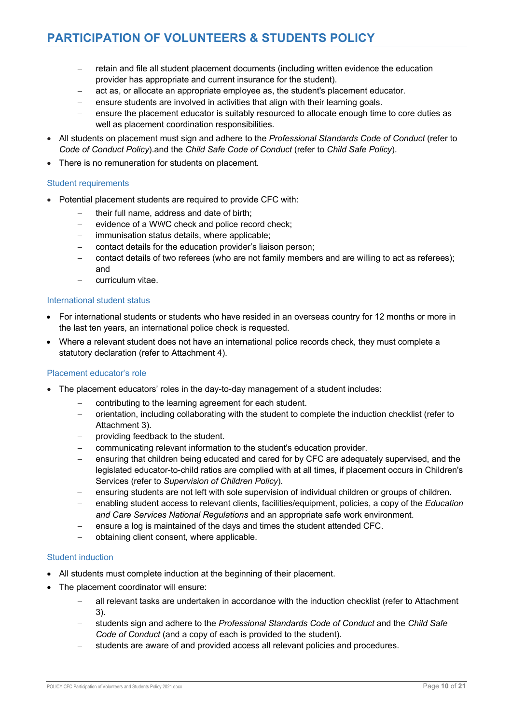- retain and file all student placement documents (including written evidence the education provider has appropriate and current insurance for the student).
- act as, or allocate an appropriate employee as, the student's placement educator.
- ensure students are involved in activities that align with their learning goals.
- ensure the placement educator is suitably resourced to allocate enough time to core duties as well as placement coordination responsibilities.
- All students on placement must sign and adhere to the *Professional Standards Code of Conduct* (refer to *Code of Conduct Policy*).and the *Child Safe Code of Conduct* (refer to *Child Safe Policy*).
- There is no remuneration for students on placement.

#### Student requirements

- Potential placement students are required to provide CFC with:
	- their full name, address and date of birth;
	- evidence of a WWC check and police record check;
	- immunisation status details, where applicable;
	- contact details for the education provider's liaison person;
	- contact details of two referees (who are not family members and are willing to act as referees); and
	- curriculum vitae.

#### International student status

- For international students or students who have resided in an overseas country for 12 months or more in the last ten years, an international police check is requested.
- Where a relevant student does not have an international police records check, they must complete a statutory declaration (refer to Attachment 4).

#### Placement educator's role

- The placement educators' roles in the day-to-day management of a student includes:
	- contributing to the learning agreement for each student.
	- orientation, including collaborating with the student to complete the induction checklist (refer to Attachment 3).
	- providing feedback to the student.
	- communicating relevant information to the student's education provider.
	- ensuring that children being educated and cared for by CFC are adequately supervised, and the legislated educator-to-child ratios are complied with at all times, if placement occurs in Children's Services (refer to *Supervision of Children Policy*).
	- ensuring students are not left with sole supervision of individual children or groups of children.
	- enabling student access to relevant clients, facilities/equipment, policies, a copy of the *Education and Care Services National Regulations* and an appropriate safe work environment.
	- ensure a log is maintained of the days and times the student attended CFC.
	- obtaining client consent, where applicable.

#### Student induction

- All students must complete induction at the beginning of their placement.
- The placement coordinator will ensure:
	- all relevant tasks are undertaken in accordance with the induction checklist (refer to Attachment 3).
	- students sign and adhere to the *Professional Standards Code of Conduct* and the *Child Safe Code of Conduct* (and a copy of each is provided to the student).
	- students are aware of and provided access all relevant policies and procedures.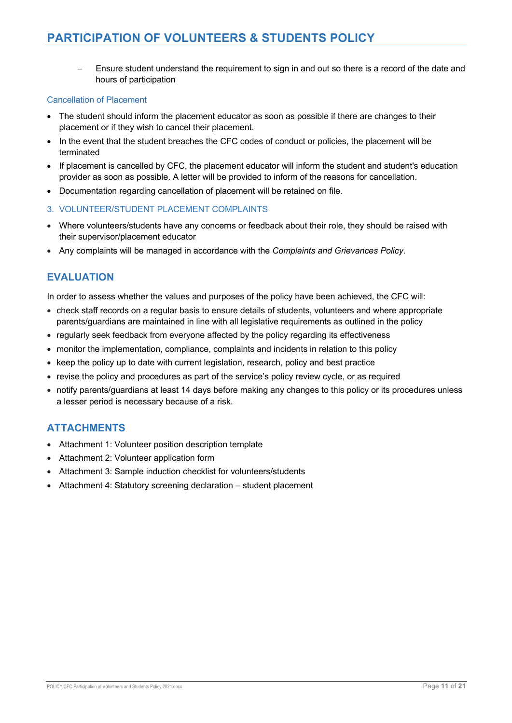- Ensure student understand the requirement to sign in and out so there is a record of the date and hours of participation

### Cancellation of Placement

- The student should inform the placement educator as soon as possible if there are changes to their placement or if they wish to cancel their placement.
- In the event that the student breaches the CFC codes of conduct or policies, the placement will be terminated
- If placement is cancelled by CFC, the placement educator will inform the student and student's education provider as soon as possible. A letter will be provided to inform of the reasons for cancellation.
- Documentation regarding cancellation of placement will be retained on file.
- 3. VOLUNTEER/STUDENT PLACEMENT COMPLAINTS
- Where volunteers/students have any concerns or feedback about their role, they should be raised with their supervisor/placement educator
- Any complaints will be managed in accordance with the *Complaints and Grievances Policy*.

# **EVALUATION**

In order to assess whether the values and purposes of the policy have been achieved, the CFC will:

- check staff records on a regular basis to ensure details of students, volunteers and where appropriate parents/guardians are maintained in line with all legislative requirements as outlined in the policy
- regularly seek feedback from everyone affected by the policy regarding its effectiveness
- monitor the implementation, compliance, complaints and incidents in relation to this policy
- keep the policy up to date with current legislation, research, policy and best practice
- revise the policy and procedures as part of the service's policy review cycle, or as required
- notify parents/guardians at least 14 days before making any changes to this policy or its procedures unless a lesser period is necessary because of a risk.

# **ATTACHMENTS**

- Attachment 1: Volunteer position description template
- Attachment 2: Volunteer application form
- Attachment 3: Sample induction checklist for volunteers/students
- Attachment 4: Statutory screening declaration student placement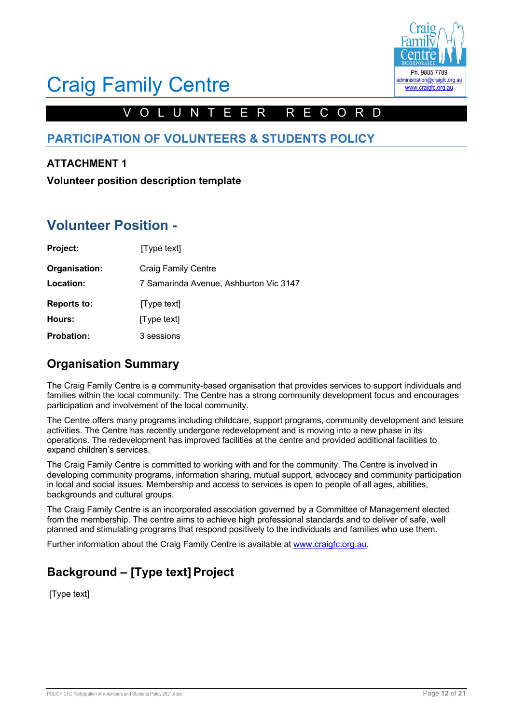

# VOL U NTEER RECORD

# **PARTICIPATION OF VOLUNTEERS & STUDENTS POLICY**

# **ATTACHMENT 1**

**Volunteer position description template**

# **Volunteer Position -**

| Project:           | [Type text]                            |
|--------------------|----------------------------------------|
| Organisation:      | <b>Craig Family Centre</b>             |
| Location:          | 7 Samarinda Avenue, Ashburton Vic 3147 |
| <b>Reports to:</b> | [Type text]                            |
| Hours:             | [Type text]                            |
| <b>Probation:</b>  | 3 sessions                             |

# **Organisation Summary**

The Craig Family Centre is a community-based organisation that provides services to support individuals and families within the local community. The Centre has a strong community development focus and encourages participation and involvement of the local community.

The Centre offers many programs including childcare, support programs, community development and leisure activities. The Centre has recently undergone redevelopment and is moving into a new phase in its operations. The redevelopment has improved facilities at the centre and provided additional facilities to expand children's services.

The Craig Family Centre is committed to working with and for the community. The Centre is involved in developing community programs, information sharing, mutual support, advocacy and community participation in local and social issues. Membership and access to services is open to people of all ages, abilities, backgrounds and cultural groups.

The Craig Family Centre is an incorporated association governed by a Committee of Management elected from the membership. The centre aims to achieve high professional standards and to deliver of safe, well planned and stimulating programs that respond positively to the individuals and families who use them.

Further information about the Craig Family Centre is available at www.craigfc.org.au.

# **Background – [Type text]Project**

[Type text]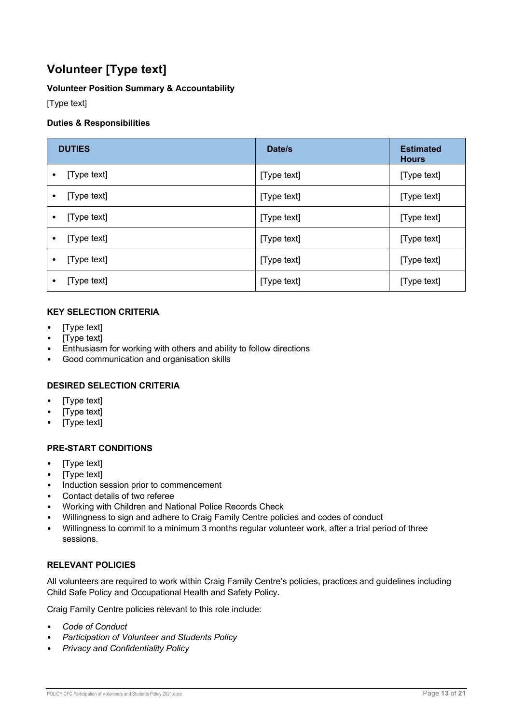# **Volunteer [Type text]**

## **Volunteer Position Summary & Accountability**

[Type text]

## **Duties & Responsibilities**

| <b>DUTIES</b>            | Date/s      | <b>Estimated</b><br><b>Hours</b> |
|--------------------------|-------------|----------------------------------|
| [Type text]<br>٠         | [Type text] | [Type text]                      |
| [Type text]<br>٠         | [Type text] | [Type text]                      |
| [Type text]<br>٠         | [Type text] | [Type text]                      |
| [Type text]<br>$\bullet$ | [Type text] | [Type text]                      |
| [Type text]<br>$\bullet$ | [Type text] | [Type text]                      |
| [Type text]<br>٠         | [Type text] | [Type text]                      |

## **KEY SELECTION CRITERIA**

- [Type text]
- [Type text]
- Enthusiasm for working with others and ability to follow directions
- Good communication and organisation skills

## **DESIRED SELECTION CRITERIA**

- [Type text]
- [Type text]
- [Type text]

## **PRE-START CONDITIONS**

- [Type text]
- [Type text]
- Induction session prior to commencement
- Contact details of two referee
- Working with Children and National Police Records Check
- Willingness to sign and adhere to Craig Family Centre policies and codes of conduct
- Willingness to commit to a minimum 3 months regular volunteer work, after a trial period of three sessions.

## **RELEVANT POLICIES**

All volunteers are required to work within Craig Family Centre's policies, practices and guidelines including Child Safe Policy and Occupational Health and Safety Policy**.**

Craig Family Centre policies relevant to this role include:

- *Code of Conduct*
- *Participation of Volunteer and Students Policy*
- *Privacy and Confidentiality Policy*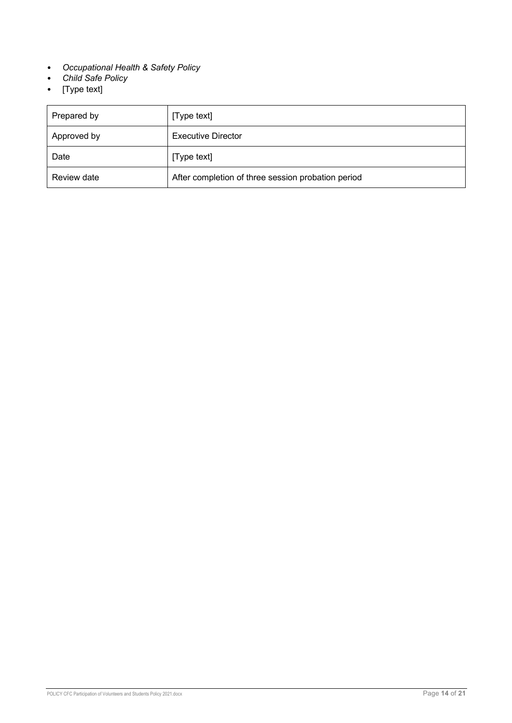- *Occupational Health & Safety Policy*
- *Child Safe Policy*
- [Type text]

| Prepared by | [Type text]                                        |
|-------------|----------------------------------------------------|
| Approved by | <b>Executive Director</b>                          |
| Date        | [Type text]                                        |
| Review date | After completion of three session probation period |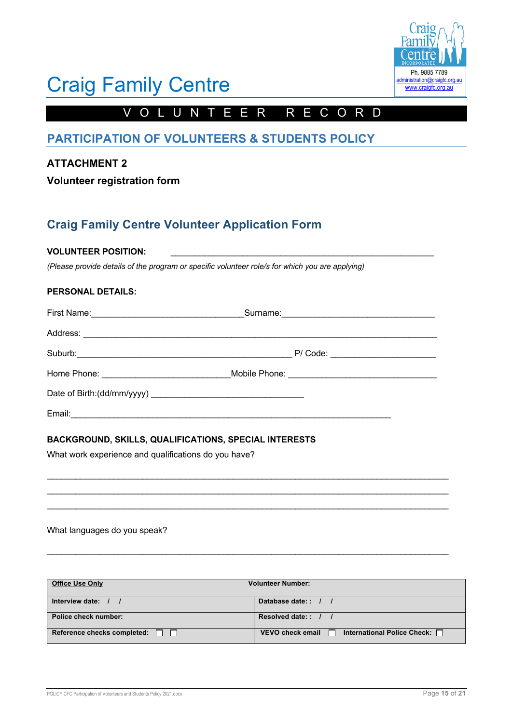

# VOLUNTEER RECORD

# **PARTICIPATION OF VOLUNTEERS & STUDENTS POLICY**

# **ATTACHMENT 2**

**Volunteer registration form**

# **Craig Family Centre Volunteer Application Form**

### **VOLUNTEER POSITION:**

*(Please provide details of the program or specific volunteer role/s for which you are applying)*

### **PERSONAL DETAILS:**

| Surname: 2008 Communication of the Surname Communication of the Surname Communication of the Surname Communication of the Surname Communication of the Surname Communication of the Surname Communication of the Surname Commu |  |
|--------------------------------------------------------------------------------------------------------------------------------------------------------------------------------------------------------------------------------|--|
|                                                                                                                                                                                                                                |  |
| P/ Code: __________________________                                                                                                                                                                                            |  |
|                                                                                                                                                                                                                                |  |
|                                                                                                                                                                                                                                |  |
|                                                                                                                                                                                                                                |  |

\_\_\_\_\_\_\_\_\_\_\_\_\_\_\_\_\_\_\_\_\_\_\_\_\_\_\_\_\_\_\_\_\_\_\_\_\_\_\_\_\_\_\_\_\_\_\_\_\_\_\_\_\_\_\_\_\_\_\_\_\_\_\_\_\_\_\_\_\_\_\_\_\_\_\_\_\_\_\_\_\_\_\_\_ \_\_\_\_\_\_\_\_\_\_\_\_\_\_\_\_\_\_\_\_\_\_\_\_\_\_\_\_\_\_\_\_\_\_\_\_\_\_\_\_\_\_\_\_\_\_\_\_\_\_\_\_\_\_\_\_\_\_\_\_\_\_\_\_\_\_\_\_\_\_\_\_\_\_\_\_\_\_\_\_\_\_\_\_ \_\_\_\_\_\_\_\_\_\_\_\_\_\_\_\_\_\_\_\_\_\_\_\_\_\_\_\_\_\_\_\_\_\_\_\_\_\_\_\_\_\_\_\_\_\_\_\_\_\_\_\_\_\_\_\_\_\_\_\_\_\_\_\_\_\_\_\_\_\_\_\_\_\_\_\_\_\_\_\_\_\_\_\_

\_\_\_\_\_\_\_\_\_\_\_\_\_\_\_\_\_\_\_\_\_\_\_\_\_\_\_\_\_\_\_\_\_\_\_\_\_\_\_\_\_\_\_\_\_\_\_\_\_\_\_\_\_\_\_\_\_\_\_\_\_\_\_\_\_\_\_\_\_\_\_\_\_\_\_\_\_\_\_\_\_\_\_\_

## **BACKGROUND, SKILLS, QUALIFICATIONS, SPECIAL INTERESTS**

What work experience and qualifications do you have?

### What languages do you speak?

| <b>Office Use Only</b>                    | <b>Volunteer Number:</b>                                                |
|-------------------------------------------|-------------------------------------------------------------------------|
|                                           |                                                                         |
| Interview date:                           | Database date:: / /                                                     |
|                                           |                                                                         |
| Police check number:                      | Resolved date:: / /                                                     |
| Reference checks completed: $\Box$ $\Box$ | <b>VEVO check email</b><br>International Police Check: $\Box$<br>$\Box$ |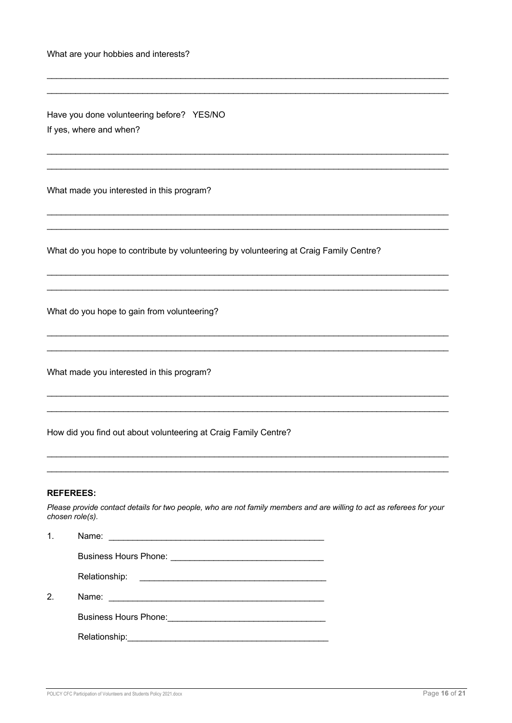| What are your hobbies and interests?                                                                                                                         |
|--------------------------------------------------------------------------------------------------------------------------------------------------------------|
| Have you done volunteering before? YES/NO<br>If yes, where and when?                                                                                         |
| What made you interested in this program?                                                                                                                    |
| What do you hope to contribute by volunteering by volunteering at Craig Family Centre?                                                                       |
| What do you hope to gain from volunteering?                                                                                                                  |
| What made you interested in this program?                                                                                                                    |
| How did you find out about volunteering at Craig Family Centre?                                                                                              |
| <b>REFEREES:</b><br>Please provide contact details for two people, who are not family members and are willing to act as referees for your<br>chosen role(s). |
| 1.                                                                                                                                                           |

|    | ivame:                                                                                                         |
|----|----------------------------------------------------------------------------------------------------------------|
|    |                                                                                                                |
|    | Relationship:                                                                                                  |
| 2. | Name:                                                                                                          |
|    | Business Hours Phone: 2008 - 2008 - 2010 - 2010 - 2010 - 2010 - 2010 - 2010 - 2010 - 2010 - 2010 - 2010 - 2010 |
|    |                                                                                                                |
|    |                                                                                                                |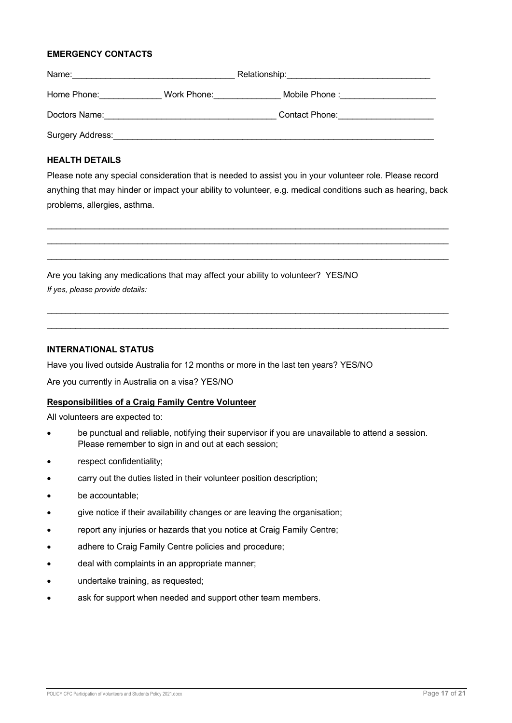### **EMERGENCY CONTACTS**

| Name:            | Relationship: |                            |
|------------------|---------------|----------------------------|
| Home Phone:      | Work Phone:   | Mobile Phone: Nobile Phone |
| Doctors Name:    |               | Contact Phone:             |
| Surgery Address: |               |                            |

### **HEALTH DETAILS**

Please note any special consideration that is needed to assist you in your volunteer role. Please record anything that may hinder or impact your ability to volunteer, e.g. medical conditions such as hearing, back problems, allergies, asthma.

\_\_\_\_\_\_\_\_\_\_\_\_\_\_\_\_\_\_\_\_\_\_\_\_\_\_\_\_\_\_\_\_\_\_\_\_\_\_\_\_\_\_\_\_\_\_\_\_\_\_\_\_\_\_\_\_\_\_\_\_\_\_\_\_\_\_\_\_\_\_\_\_\_\_\_\_\_\_\_\_\_\_\_\_  $\mathcal{L}_\text{max}$  , and the contribution of the contribution of the contribution of the contribution of the contribution of the contribution of the contribution of the contribution of the contribution of the contribution of t \_\_\_\_\_\_\_\_\_\_\_\_\_\_\_\_\_\_\_\_\_\_\_\_\_\_\_\_\_\_\_\_\_\_\_\_\_\_\_\_\_\_\_\_\_\_\_\_\_\_\_\_\_\_\_\_\_\_\_\_\_\_\_\_\_\_\_\_\_\_\_\_\_\_\_\_\_\_\_\_\_\_\_\_

\_\_\_\_\_\_\_\_\_\_\_\_\_\_\_\_\_\_\_\_\_\_\_\_\_\_\_\_\_\_\_\_\_\_\_\_\_\_\_\_\_\_\_\_\_\_\_\_\_\_\_\_\_\_\_\_\_\_\_\_\_\_\_\_\_\_\_\_\_\_\_\_\_\_\_\_\_\_\_\_\_\_\_\_ \_\_\_\_\_\_\_\_\_\_\_\_\_\_\_\_\_\_\_\_\_\_\_\_\_\_\_\_\_\_\_\_\_\_\_\_\_\_\_\_\_\_\_\_\_\_\_\_\_\_\_\_\_\_\_\_\_\_\_\_\_\_\_\_\_\_\_\_\_\_\_\_\_\_\_\_\_\_\_\_\_\_\_\_

Are you taking any medications that may affect your ability to volunteer? YES/NO *If yes, please provide details:*

#### **INTERNATIONAL STATUS**

Have you lived outside Australia for 12 months or more in the last ten years? YES/NO

Are you currently in Australia on a visa? YES/NO

#### **Responsibilities of a Craig Family Centre Volunteer**

All volunteers are expected to:

- be punctual and reliable, notifying their supervisor if you are unavailable to attend a session. Please remember to sign in and out at each session;
- respect confidentiality;
- carry out the duties listed in their volunteer position description;
- be accountable;
- give notice if their availability changes or are leaving the organisation;
- report any injuries or hazards that you notice at Craig Family Centre;
- adhere to Craig Family Centre policies and procedure;
- deal with complaints in an appropriate manner;
- undertake training, as requested;
- ask for support when needed and support other team members.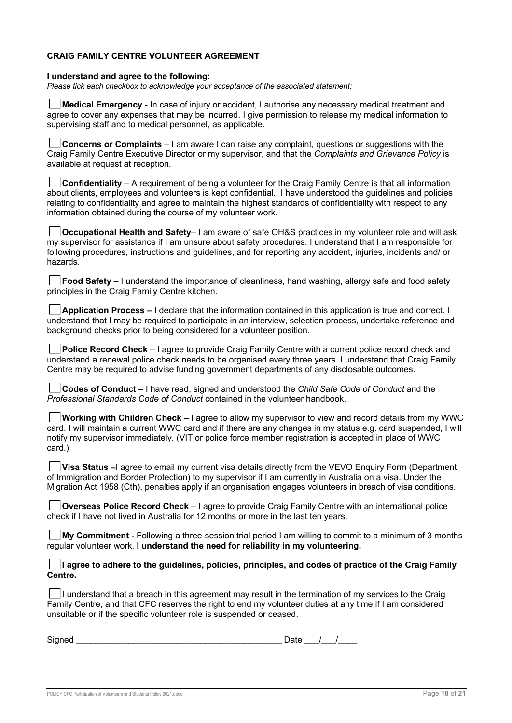### **CRAIG FAMILY CENTRE VOLUNTEER AGREEMENT**

#### **I understand and agree to the following:**

*Please tick each checkbox to acknowledge your acceptance of the associated statement:* 

**Medical Emergency** - In case of injury or accident, I authorise any necessary medical treatment and agree to cover any expenses that may be incurred. I give permission to release my medical information to supervising staff and to medical personnel, as applicable.

**Concerns or Complaints** – I am aware I can raise any complaint, questions or suggestions with the Craig Family Centre Executive Director or my supervisor, and that the *Complaints and Grievance Policy* is available at request at reception.

**Confidentiality** – A requirement of being a volunteer for the Craig Family Centre is that all information about clients, employees and volunteers is kept confidential. I have understood the guidelines and policies relating to confidentiality and agree to maintain the highest standards of confidentiality with respect to any information obtained during the course of my volunteer work.

**Occupational Health and Safety**– I am aware of safe OH&S practices in my volunteer role and will ask my supervisor for assistance if I am unsure about safety procedures. I understand that I am responsible for following procedures, instructions and guidelines, and for reporting any accident, injuries, incidents and/ or hazards.

|                                                | $\Box$ Food Safety – I understand the importance of cleanliness, hand washing, allergy safe and food safety |  |  |  |  |
|------------------------------------------------|-------------------------------------------------------------------------------------------------------------|--|--|--|--|
| principles in the Craig Family Centre kitchen. |                                                                                                             |  |  |  |  |

**Application Process –** I declare that the information contained in this application is true and correct. I understand that I may be required to participate in an interview, selection process, undertake reference and background checks prior to being considered for a volunteer position.

**Police Record Check** – I agree to provide Craig Family Centre with a current police record check and understand a renewal police check needs to be organised every three years. I understand that Craig Family Centre may be required to advise funding government departments of any disclosable outcomes.

**Codes of Conduct –** I have read, signed and understood the *Child Safe Code of Conduct* and the *Professional Standards Code of Conduct* contained in the volunteer handbook.

**Working with Children Check –** I agree to allow my supervisor to view and record details from my WWC card. I will maintain a current WWC card and if there are any changes in my status e.g. card suspended, I will notify my supervisor immediately. (VIT or police force member registration is accepted in place of WWC card.)

**Visa Status** –I agree to email my current visa details directly from the VEVO Enguiry Form (Department of Immigration and Border Protection) to my supervisor if I am currently in Australia on a visa. Under the Migration Act 1958 (Cth), penalties apply if an organisation engages volunteers in breach of visa conditions.

**Overseas Police Record Check** – I agree to provide Craig Family Centre with an international police check if I have not lived in Australia for 12 months or more in the last ten years.

**My Commitment -** Following a three-session trial period I am willing to commit to a minimum of 3 months regular volunteer work. **I understand the need for reliability in my volunteering.** 

**I agree to adhere to the guidelines, policies, principles, and codes of practice of the Craig Family Centre.** 

I understand that a breach in this agreement may result in the termination of my services to the Craig Family Centre, and that CFC reserves the right to end my volunteer duties at any time if I am considered unsuitable or if the specific volunteer role is suspended or ceased.

| Signed | ⊃ate |  |  |
|--------|------|--|--|
|        |      |  |  |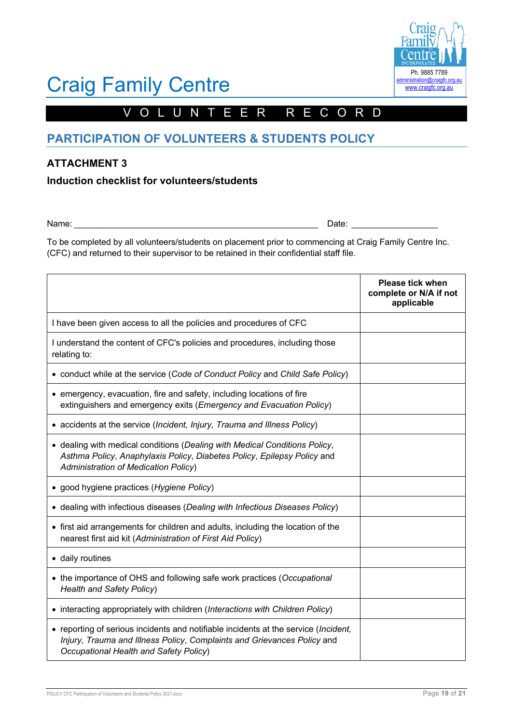

# VOLUNTEER RECORD

# **PARTICIPATION OF VOLUNTEERS & STUDENTS POLICY**

# **ATTACHMENT 3**

**Induction checklist for volunteers/students**

Name: 2008 and 2008 and 2008 and 2008 and 2008 and 2008 and 2008 and 2008 and 2008 and 2008 and 2008 and 2008 and 2008 and 2008 and 2008 and 2008 and 2008 and 2008 and 2008 and 2008 and 2008 and 2008 and 2008 and 2008 and

To be completed by all volunteers/students on placement prior to commencing at Craig Family Centre Inc. (CFC) and returned to their supervisor to be retained in their confidential staff file.

|                                                                                                                                                                                                          | <b>Please tick when</b><br>complete or N/A if not<br>applicable |
|----------------------------------------------------------------------------------------------------------------------------------------------------------------------------------------------------------|-----------------------------------------------------------------|
| I have been given access to all the policies and procedures of CFC                                                                                                                                       |                                                                 |
| I understand the content of CFC's policies and procedures, including those<br>relating to:                                                                                                               |                                                                 |
| • conduct while at the service (Code of Conduct Policy and Child Safe Policy)                                                                                                                            |                                                                 |
| • emergency, evacuation, fire and safety, including locations of fire<br>extinguishers and emergency exits (Emergency and Evacuation Policy)                                                             |                                                                 |
| • accidents at the service (Incident, Injury, Trauma and Illness Policy)                                                                                                                                 |                                                                 |
| • dealing with medical conditions (Dealing with Medical Conditions Policy,<br>Asthma Policy, Anaphylaxis Policy, Diabetes Policy, Epilepsy Policy and<br>Administration of Medication Policy)            |                                                                 |
| • good hygiene practices (Hygiene Policy)                                                                                                                                                                |                                                                 |
| • dealing with infectious diseases (Dealing with Infectious Diseases Policy)                                                                                                                             |                                                                 |
| • first aid arrangements for children and adults, including the location of the<br>nearest first aid kit (Administration of First Aid Policy)                                                            |                                                                 |
| • daily routines                                                                                                                                                                                         |                                                                 |
| • the importance of OHS and following safe work practices (Occupational<br><b>Health and Safety Policy)</b>                                                                                              |                                                                 |
| • interacting appropriately with children (Interactions with Children Policy)                                                                                                                            |                                                                 |
| • reporting of serious incidents and notifiable incidents at the service (Incident,<br>Injury, Trauma and Illness Policy, Complaints and Grievances Policy and<br>Occupational Health and Safety Policy) |                                                                 |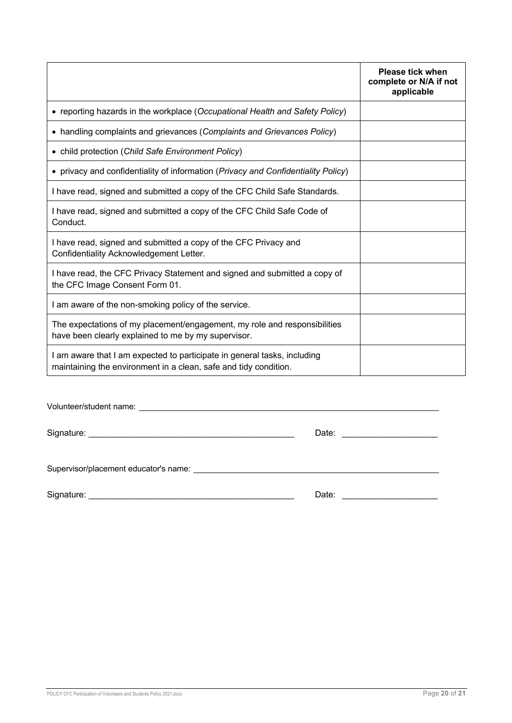|                                                                                                                                              | <b>Please tick when</b><br>complete or N/A if not<br>applicable |
|----------------------------------------------------------------------------------------------------------------------------------------------|-----------------------------------------------------------------|
| • reporting hazards in the workplace (Occupational Health and Safety Policy)                                                                 |                                                                 |
| • handling complaints and grievances (Complaints and Grievances Policy)                                                                      |                                                                 |
| • child protection (Child Safe Environment Policy)                                                                                           |                                                                 |
| • privacy and confidentiality of information (Privacy and Confidentiality Policy)                                                            |                                                                 |
| I have read, signed and submitted a copy of the CFC Child Safe Standards.                                                                    |                                                                 |
| I have read, signed and submitted a copy of the CFC Child Safe Code of<br>Conduct.                                                           |                                                                 |
| I have read, signed and submitted a copy of the CFC Privacy and<br>Confidentiality Acknowledgement Letter.                                   |                                                                 |
| I have read, the CFC Privacy Statement and signed and submitted a copy of<br>the CFC Image Consent Form 01.                                  |                                                                 |
| I am aware of the non-smoking policy of the service.                                                                                         |                                                                 |
| The expectations of my placement/engagement, my role and responsibilities<br>have been clearly explained to me by my supervisor.             |                                                                 |
| I am aware that I am expected to participate in general tasks, including<br>maintaining the environment in a clean, safe and tidy condition. |                                                                 |
|                                                                                                                                              |                                                                 |

Volunteer/student name: \_\_\_\_\_\_\_\_\_\_\_\_\_\_\_\_\_\_\_\_\_\_\_\_\_\_\_\_\_\_\_\_\_\_\_\_\_\_\_\_\_\_\_\_\_\_\_\_\_\_\_\_\_\_\_\_\_\_\_\_\_\_\_\_\_\_

Signature: \_\_\_\_\_\_\_\_\_\_\_\_\_\_\_\_\_\_\_\_\_\_\_\_\_\_\_\_\_\_\_\_\_\_\_\_\_\_\_\_\_\_\_ Date: \_\_\_\_\_\_\_\_\_\_\_\_\_\_\_\_\_\_\_\_

Supervisor/placement educator's name: \_\_\_\_\_\_\_\_\_\_\_\_\_\_\_\_\_\_\_\_\_\_\_\_\_\_\_\_\_\_\_\_\_\_\_\_\_\_\_\_\_\_\_\_\_\_\_\_\_\_\_\_\_\_

Signature: \_\_\_\_\_\_\_\_\_\_\_\_\_\_\_\_\_\_\_\_\_\_\_\_\_\_\_\_\_\_\_\_\_\_\_\_\_\_\_\_\_\_\_ Date: \_\_\_\_\_\_\_\_\_\_\_\_\_\_\_\_\_\_\_\_